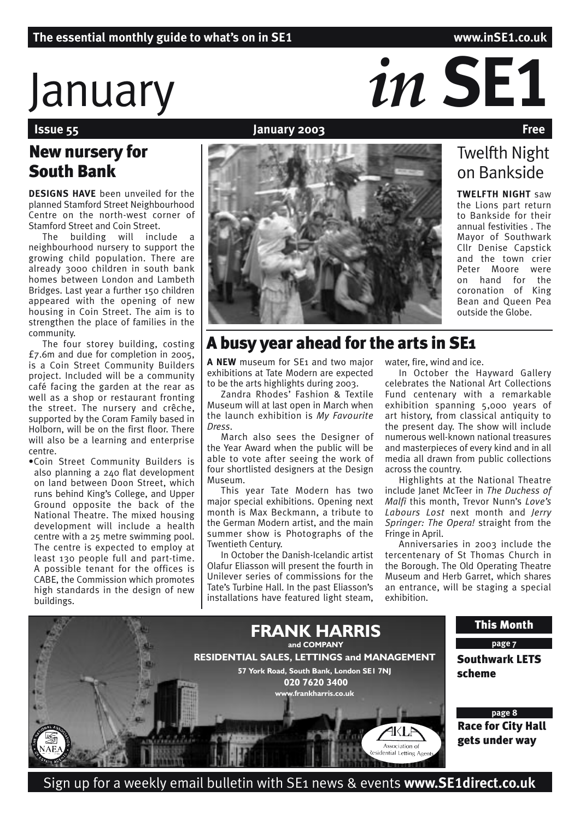Twelfth Night on Bankside

**TWELFTH NIGHT** saw the Lions part return to Bankside for their annual festivities . The Mayor of Southwark Cllr Denise Capstick and the town crier Peter Moore were on hand for the coronation of King Bean and Queen Pea outside the Globe.

# $\int_{\text{Isue }55}$  *in*  $\frac{1}{2}$  *in*  $\sum_{\text{Isue }55}$  *Free*

# **January 2003**

# New nursery for South Bank

**DESIGNS HAVE** been unveiled for the planned Stamford Street Neighbourhood Centre on the north-west corner of Stamford Street and Coin Street.

The building will include a neighbourhood nursery to support the growing child population. There are already 3000 children in south bank homes between London and Lambeth Bridges. Last year a further 150 children appeared with the opening of new housing in Coin Street. The aim is to strengthen the place of families in the community.

The four storey building, costing £7.6m and due for completion in 2005, is a Coin Street Community Builders project. Included will be a community café facing the garden at the rear as well as a shop or restaurant fronting the street. The nursery and crêche, supported by the Coram Family based in Holborn, will be on the first floor. There will also be a learning and enterprise centre.

•Coin Street Community Builders is also planning a 240 flat development on land between Doon Street, which runs behind King's College, and Upper Ground opposite the back of the National Theatre. The mixed housing development will include a health centre with a 25 metre swimming pool. The centre is expected to employ at least 130 people full and part-time. A possible tenant for the offices is CABE, the Commission which promotes high standards in the design of new buildings.

# A busy year ahead for the arts in SE1

A NEW museum for SE<sub>1</sub> and two major exhibitions at Tate Modern are expected to be the arts highlights during 2003.

Zandra Rhodes' Fashion & Textile Museum will at last open in March when the launch exhibition is *My Favourite Dress*.

March also sees the Designer of the Year Award when the public will be able to vote after seeing the work of four shortlisted designers at the Design Museum.

This year Tate Modern has two major special exhibitions. Opening next month is Max Beckmann, a tribute to the German Modern artist, and the main summer show is Photographs of the Twentieth Century.

In October the Danish-Icelandic artist Olafur Eliasson will present the fourth in Unilever series of commissions for the Tate's Turbine Hall. In the past Eliasson's installations have featured light steam,

water, fire, wind and ice.

In October the Hayward Gallery celebrates the National Art Collections Fund centenary with a remarkable exhibition spanning 5,000 years of art history, from classical antiquity to the present day. The show will include numerous well-known national treasures and masterpieces of every kind and in all media all drawn from public collections across the country.

Highlights at the National Theatre include Janet McTeer in *The Duchess of Malfi* this month, Trevor Nunn's *Love's Labours Lost* next month and *Jerry Springer: The Opera!* straight from the Fringe in April.

Anniversaries in 2003 include the tercentenary of St Thomas Church in the Borough. The Old Operating Theatre Museum and Herb Garret, which shares an entrance, will be staging a special exhibition.



Sign up for a weekly email bulletin with SE1 news & events **www.SE1direct.co.uk**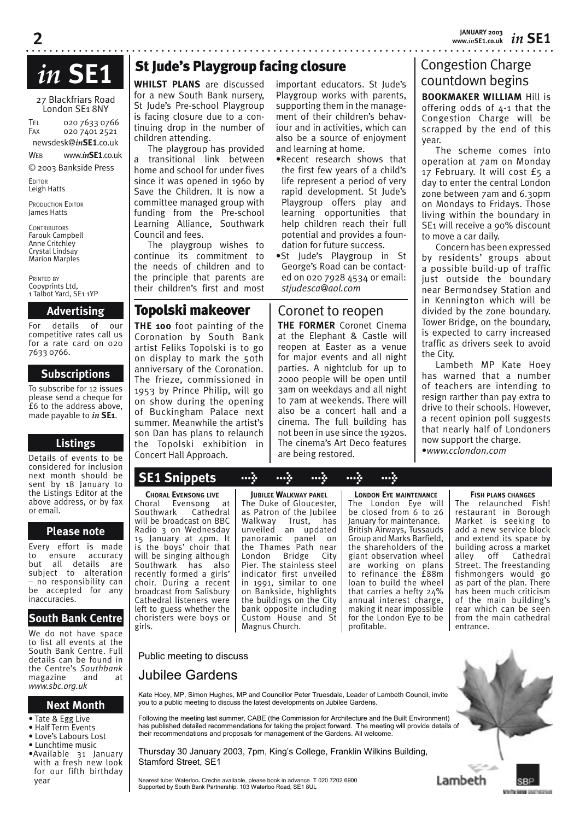# *in* **SE1**

27 Blackfriars Road London SE1 8NY

TEL 020 7633 0766 FAX 020 7401 2521

newsdesk@*in***SE1**.co.uk

WEB www.*in***SE1**.co.uk © 2003 Bankside Press

EDITOR

Leigh Hatts

**2**

PRODUCTION EDITOR James Hatts

**CONTRIBUTORS** Farouk Campbell Anne Critchley Crystal Lindsay Marion Marples

PRINTED BY Copyprints Ltd, 1 Talbot Yard, SE1 1YP

# **Advertising**

For details of our competitive rates call us for a rate card on 020 7633 0766.

# **Subscriptions**

To subscribe for 12 issues please send a cheque for £6 to the address above, made payable to *in* **SE1**.

# **Listings**

Details of events to be considered for inclusion next month should be sent by 18 January to the Listings Editor at the above address, or by fax or email.

# **Please note**

Every effort is made to ensure accuracy but all details are subject to alteration – no responsibility can be accepted for any inaccuracies.

# **South Bank Centre**

We do not have space to list all events at the South Bank Centre. Full details can be found in the Centre's *Southbank* magazine and at *www.sbc.org.uk*

# **Next Month**

- Tate & Egg Live
- Half Term Events
- Love's Labours Lost
- Lunchtime music •Available 31 January
- with a fresh new look for our fifth birthday year

# St Jude's Playgroup facing closure

**WHILST PLANS** are discussed for a new South Bank nursery, St Jude's Pre-school Playgroup is facing closure due to a continuing drop in the number of children attending.

The playgroup has provided a transitional link between home and school for under fives since it was opened in 1960 by Save the Children. It is now a committee managed group with funding from the Pre-school Learning Alliance, Southwark Council and fees.

The playgroup wishes to continue its commitment to the needs of children and to the principle that parents are their children's first and most

# Topolski makeover

**THE 100** foot painting of the Coronation by South Bank artist Feliks Topolski is to go on display to mark the 50th anniversary of the Coronation. The frieze, commissioned in 1953 by Prince Philip, will go on show during the opening of Buckingham Palace next summer. Meanwhile the artist's son Dan has plans to relaunch the Topolski exhibition in Concert Hall Approach.

important educators. St lude's Playgroup works with parents, supporting them in the management of their children's behaviour and in activities, which can also be a source of enjoyment and learning at home.

- •Recent research shows that the first few years of a child's life represent a period of very rapid development. St Jude's Playgroup offers play and learning opportunities that help children reach their full potential and provides a foundation for future success.
- •St Jude's Playgroup in St George's Road can be contacted on 020 7928 4534 or email: *stjudesca@aol.com*

**THE FORMER** Coronet Cinema at the Elephant & Castle will reopen at Easter as a venue for major events and all night parties. A nightclub for up to Coronet to reopen

2000 people will be open until 3am on weekdays and all night to 7am at weekends. There will also be a concert hall and a cinema. The full building has not been in use since the 1920s. The cinema's Art Deco features are being restored.

# Congestion Charge countdown begins

**BOOKMAKER WILLIAM** Hill is offering odds of 4-1 that the Congestion Charge will be scrapped by the end of this year.

The scheme comes into operation at 7am on Monday 17 February. It will cost £5 a day to enter the central London zone between 7am and 6.30pm on Mondays to Fridays. Those living within the boundary in SE1 will receive a 90% discount to move a car daily.

Concern has been expressed by residents' groups about a possible build-up of traffic just outside the boundary near Bermondsey Station and in Kennington which will be divided by the zone boundary. Tower Bridge, on the boundary, is expected to carry increased traffic as drivers seek to avoid the City.

Lambeth MP Kate Hoey has warned that a number of teachers are intending to resign rarther than pay extra to drive to their schools. However, a recent opinion poll suggests that nearly half of Londoners now support the charge. •*www.cclondon.com*

# **SE1 Snippets > > > > >**

**CHORAL EVENSONG LIVE** Choral Evensong at Southwark Cathedral will be broadcast on BBC Radio 3 on Wednesday 15 January at 4pm. It is the boys' choir that will be singing although Southwark has also recently formed a girls' choir. During a recent broadcast from Salisbury Cathedral listeners were left to guess whether the choristers were boys or girls.

**JUBILEE WALKWAY PANEL** The Duke of Gloucester, as Patron of the Jubilee<br>Walkway Trust, has Walkway<br>unveiled an updated panoramic panel on the Thames Path near London Bridge City Pier. The stainless steel indicator first unveiled in 1991, similar to one on Bankside, highlights the buildings on the City bank opposite including Custom House and St Magnus Church.

**LONDON EYE MAINTENANCE** The London Eye will be closed from 6 to 26 January for maintenance. British Airways, Tussauds Group and Marks Barfield, the shareholders of the giant observation wheel are working on plans to refinance the £88m loan to build the wheel that carries a hefty 24% annual interest charge, making it near impossible for the London Eye to be profitable.

**FISH PLANS CHANGES**

The relaunched Fish! restaurant in Borough Market is seeking to add a new service block and extend its space by building across a market alley off Cathedral Street. The freestanding fishmongers would go as part of the plan. There has been much criticism of the main building's rear which can be seen from the main cathedral entrance.

Public meeting to discuss

# Jubilee Gardens

Kate Hoey, MP, Simon Hughes, MP and Councillor Peter Truesdale, Leader of Lambeth Council, invite you to a public meeting to discuss the latest developments on Jubilee Gardens.

Following the meeting last summer, CABE (the Commission for Architecture and the Built Environment) has published detailed recommendations for taking the project forward. The meeting will provide details of their recommendations and proposals for management of the Gardens. All welcome.

Thursday 30 January 2003, 7pm, King's College, Franklin Wilkins Building, Stamford Street, SE1

Nearest tube: Waterloo**.** Creche available, please book in advance. T 020 7202 6900 Supported by South Bank Partnership, 103 Waterloo Road, SE1 8UL



**SOUTH BANK DAIRWINGHT**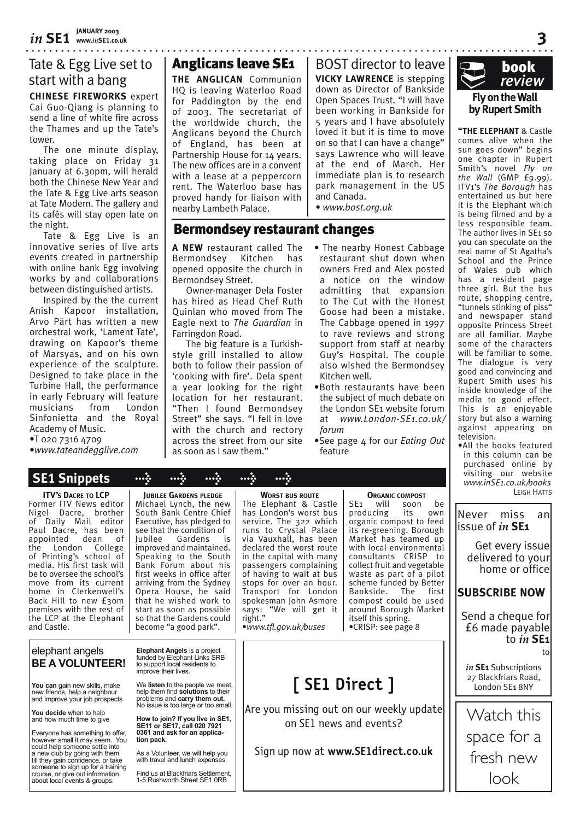# Tate & Egg Live set to start with a bang

**CHINESE FIREWORKS** expert Cai Guo-Qiang is planning to send a line of white fire across the Thames and up the Tate's tower.

The one minute display, taking place on Friday 31 January at 6.30pm, will herald both the Chinese New Year and the Tate & Egg Live arts season at Tate Modern. The gallery and its cafés will stay open late on the night.

Tate & Egg Live is an innovative series of live arts events created in partnership with online bank Egg involving works by and collaborations between distinguished artists.

Inspired by the the current Anish Kapoor installation, Arvo Pärt has written a new orchestral work, 'Lament Tate', drawing on Kapoor's theme of Marsyas, and on his own experience of the sculpture. Designed to take place in the Turbine Hall, the performance in early February will feature musicians from London Sinfonietta and the Royal Academy of Music.

•T 020 7316 4709

about local events & groups.

•*www.tateandegglive.com*

 **SE1 Snippets > > > > >**

# Anglicans leave SE1

**THE ANGLICAN** Communion HQ is leaving Waterloo Road for Paddington by the end of 2003. The secretariat of the worldwide church, the Anglicans beyond the Church of England, has been at Partnership House for 14 years. The new offices are in a convent with a lease at a peppercorn rent. The Waterloo base has proved handy for liaison with nearby Lambeth Palace.

**VICKY LAWRENCE** is stepping down as Director of Bankside Open Spaces Trust. "I will have been working in Bankside for 5 years and I have absolutely loved it but it is time to move on so that I can have a change" says Lawrence who will leave at the end of March. Her immediate plan is to research park management in the US and Canada. BOST director to leave

• *www.bost.org.uk*

# Bermondsey restaurant changes

**A NEW** restaurant called The Bermondsey Kitchen has opened opposite the church in Bermondsey Street.

Owner-manager Dela Foster has hired as Head Chef Ruth Quinlan who moved from The Eagle next to *The Guardian* in Farringdon Road.

The big feature is a Turkishstyle grill installed to allow both to follow their passion of 'cooking with fire'. Dela spent a year looking for the right location for her restaurant. "Then I found Bermondsey Street" she says. "I fell in love with the church and rectory across the street from our site as soon as I saw them."

- The nearby Honest Cabbage restaurant shut down when owners Fred and Alex posted a notice on the window admitting that expansion to The Cut with the Honest Goose had been a mistake. The Cabbage opened in 1997 to rave reviews and strong support from staff at nearby Guy's Hospital. The couple also wished the Bermondsey Kitchen well.
- •Both restaurants have been the subject of much debate on the London SE1 website forum at *www.London-SE1.co.uk/ forum*
- •See page 4 for our *Eating Out* feature



**3**

**"THE ELEPHANT** & Castle comes alive when the sun goes down" begins one chapter in Rupert Smith's novel *Fly on the Wall* (GMP  $E(9.99)$ . ITV1's *The Borough* has entertained us but here it is the Elephant which is being filmed and by a less responsible team. The author lives in SE1 so you can speculate on the real name of St Agatha's School and the Prince of Wales pub which has a resident page three girl. But the bus route, shopping centre, "tunnels stinking of piss" and newspaper stand opposite Princess Street are all familiar. Maybe some of the characters will be familiar to some. The dialogue is very good and convincing and Rupert Smith uses his inside knowledge of the media to good effect. This is an enjoyable story but also a warning against appearing on television.

•All the books featured in this column can be purchased online by visiting our website *www.inSE1.co.uk/books* LEIGH HATTS



|                                                                                                                                                                                                                                                                                                                                                                                                                                                              |                                                                                                                                                                                                                                                                                                                                                                                                                                                                                                           | n                                                                                                                                                                                                                                                                                                                                                                                                              |                                                                                                                                                                                                                                                                                                                                                                                                                                              |
|--------------------------------------------------------------------------------------------------------------------------------------------------------------------------------------------------------------------------------------------------------------------------------------------------------------------------------------------------------------------------------------------------------------------------------------------------------------|-----------------------------------------------------------------------------------------------------------------------------------------------------------------------------------------------------------------------------------------------------------------------------------------------------------------------------------------------------------------------------------------------------------------------------------------------------------------------------------------------------------|----------------------------------------------------------------------------------------------------------------------------------------------------------------------------------------------------------------------------------------------------------------------------------------------------------------------------------------------------------------------------------------------------------------|----------------------------------------------------------------------------------------------------------------------------------------------------------------------------------------------------------------------------------------------------------------------------------------------------------------------------------------------------------------------------------------------------------------------------------------------|
| <b>ITV's DACRE TO LCP</b><br>Former ITV News editor<br>Nigel Dacre,<br>brother<br>of Daily Mail editor<br>Paul Dacre, has been<br>dean<br>appointed<br>0f<br>London College<br>the<br>of Printing's school of<br>media. His first task will<br>be to oversee the school's<br>move from its current<br>home in Clerkenwell's<br>Back Hill to new from<br>premises with the rest of<br>the LCP at the Elephant<br>and Castle.                                  | <b>IUBILEE GARDENS PLEDGE</b><br>Michael Lynch, the new<br>South Bank Centre Chief<br>Executive, has pledged to<br>see that the condition of<br>Jubilee Gardens<br>is is<br>improved and maintained.<br>Speaking to the South<br>Bank Forum about his<br>first weeks in office after<br>arriving from the Sydney<br>Opera House, he said<br>that he wished work to<br>start as soon as possible<br>so that the Gardens could<br>become "a good park".                                                     | <b>WORST BUS ROUTE</b><br>The Elephant & Castle<br>has London's worst bus<br>service. The 322 which<br>runs to Crystal Palace<br>via Vauxhall, has been<br>declared the worst route<br>in the capital with many<br>passengers complaining<br>of having to wait at bus<br>stops for over an hour.<br>Transport for London<br>spokesman John Asmore<br>says: "We will get it<br>right."<br>•www.tfl.gov.uk/buses | <b>ORGANIC COMPOST</b><br>will<br>SE <sub>1</sub><br>be<br>soon<br>producing<br>its<br>own<br>organic compost to feed<br>its re-greening. Borough<br>Market has teamed up<br>with local environmental<br>consultants CRISP to<br>collect fruit and vegetable<br>waste as part of a pilot<br>scheme funded by Better<br>Bankside. The<br>first<br>compost could be used<br>around Borough Market<br>itself this spring.<br>•CRISP: see page 8 |
| elephant angels<br><b>BE A VOLUNTEER!</b><br>You can gain new skills, make<br>new friends, help a neighbour<br>and improve your job prospects<br>You decide when to help<br>and how much time to give<br>Everyone has something to offer,<br>however small it may seem. You<br>could help someone settle into<br>a new club by going with them<br>till they gain confidence, or take<br>someone to sign up for a training<br>course, or give out information | <b>Elephant Angels is a project</b><br>funded by Elephant Links SRB<br>to support local residents to<br>improve their lives.<br>We listen to the people we meet,<br>help them find solutions to their<br>problems and carry them out.<br>No issue is too large or too small.<br>How to join? If you live in SE1,<br>SE11 or SE17, call 020 7921<br>0361 and ask for an applica-<br>tion pack.<br>As a Volunteer, we will help you<br>with travel and lunch expenses<br>Find us at Blackfriars Settlement. | SE1 Direct 1<br>Are you missing out on our weekly update<br>on SE1 news and events?<br>Sign up now at www.SE1direct.co.uk                                                                                                                                                                                                                                                                                      |                                                                                                                                                                                                                                                                                                                                                                                                                                              |

Find us at Blackfriars Settlement, 1-5 Rushworth Street SE1 0RB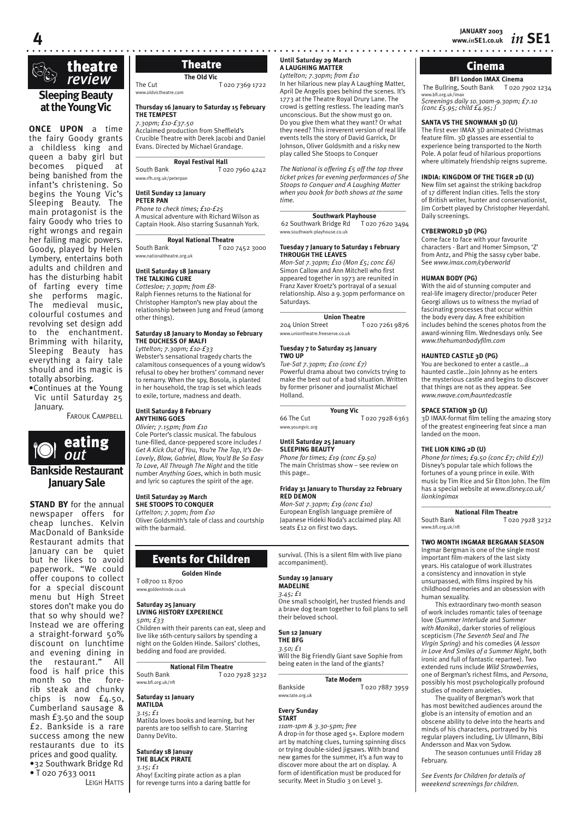

# **at the Young Vic**

**ONCE UPON** a time the fairy Goody grants a childless king and queen a baby girl but becomes piqued at being banished from the infant's christening. So begins the Young Vic's Sleeping Beauty. The main protagonist is the fairy Goody who tries to right wrongs and regain her failing magic powers. Goody, played by Helen Lymbery, entertains both adults and children and has the disturbing habit of farting every time she performs magic. The medieval music, colourful costumes and revolving set design add to the enchantment. Brimming with hilarity, Sleeping Beauty has everything a fairy tale should and its magic is totally absorbing.

•Continues at the Young Vic until Saturday 25 January.

FAROUK CAMPBELL



**STAND BY** for the annual newspaper offers for cheap lunches. Kelvin MacDonald of Bankside Restaurant admits that January can be quiet but he likes to avoid paperwork. "We could offer coupons to collect for a special discount menu but High Street stores don't make you do that so why should we? Instead we are offering a straight-forward 50% discount on lunchtime and evening dining in<br>the restaurant" All restaurant." food is half price this month so the forerib steak and chunky chips is now  $f_{4.50}$ , Cumberland sausage & mash £3.50 and the soup £2. Bankside is a rare success among the new restaurants due to its prices and good quality. •32 Southwark Bridge Rd • T 020 7633 0011

LEIGH HATTS

# **The Old Vic**

The Cut T 020 7369 1722 www.oldvictheatre.com

## **Thursday 16 January to Saturday 15 February THE TEMPEST**

*7.30pm; £10-£37.50* Acclaimed production from Sheffield's Crucible Theatre with Derek Jacobi and Daniel Evans. Directed by Michael Grandage. \_\_\_\_\_\_\_\_\_\_\_\_\_\_\_\_\_\_\_\_\_\_\_\_\_\_\_\_\_\_\_\_\_\_\_\_\_\_

# **Royal Festival Hall**

South Bank T 020 7960 4242 www.rfh.org.uk/peterpan

#### **Until Sunday 12 January PETER PAN**

*Phone to check times; £10-£25* A musical adventure with Richard Wilson as Captain Hook. Also starring Susannah York.

 $\overline{\phantom{a}}$  , and the set of the set of the set of the set of the set of the set of the set of the set of the set of the set of the set of the set of the set of the set of the set of the set of the set of the set of the s **Royal National Theatre**<br>South Bank **Logo** T 020 7452 3000 www.nationaltheatre.org.uk

#### **Until Saturday 18 January THE TALKING CURE**

other things).

*Cottesloe; 7.30pm; from £8-* Ralph Fiennes returns to the National for Christopher Hampton's new play about the relationship between Jung and Freud (among

# **Saturday 18 January to Monday 10 February THE DUCHESS OF MALFI**

*Lyttelton; 7.30pm; £10-£33* Webster's sensational tragedy charts the calamitous consequences of a young widow's refusal to obey her brothers' command never to remarry. When the spy, Bosola, is planted in her household, the trap is set which leads to exile, torture, madness and death.

# **Until Saturday 8 February ANYTHING GOES**

*Olivier; 7.15pm; from £10* Cole Porter's classic musical. The fabulous tune-filled, dance-peppered score includes *I Get A Kick Out of You*, *You're The Top*, I*t's De-Lovely*, *Blow, Gabriel, Blow, You'd Be So Easy To Love, All Through The Night* and the title number *Anything Goes*, which in both music and lyric so captures the spirit of the age.

# **Until Saturday 29 March**

# **SHE STOOPS TO CONQUER**

*Lyttelton; 7.30pm; from £10* Oliver Goldsmith's tale of class and courtship with the barmaid.

# Events for Children

**Golden Hinde** T 08700 11 8700

www.goldenhinde.co.uk

# **Saturday 25 January LIVING HISTORY EXPERIENCE**

*5pm; £33* Children with their parents can eat, sleep and live like 16th-century sailors by spending a night on the Golden Hinde. Sailors' clothes, bedding and food are provided.

\_\_\_\_\_\_\_\_\_\_\_\_\_\_\_\_\_\_\_\_\_\_\_\_\_\_\_\_\_\_\_\_\_\_\_\_\_\_ **National Film Theatre**<br>South Bank T 020 T 020 7928 3232 www.bfi.org.uk/nft

#### **Saturday 11 January MATILDA**

*3.15; £1*

Matilda loves books and learning, but her parents are too selfish to care. Starring Danny DeVito.

#### **Saturday 18 Januay THE BLACK PIRATE**

*3.15; £1*

Ahoy! Exciting pirate action as a plan for revenge turns into a daring battle for

**Theatre Cinema** A LAUGHING MATTER **Theatry 29 Matter Until Saturday 29 March**

# *Lyttelton; 7.30pm; from £10*

In her hilarious new play A Laughing Matter, April De Angelis goes behind the scenes. It's 1773 at the Theatre Royal Drury Lane. The crowd is getting restless. The leading man's unconscious. But the show must go on. Do you give them what they want? Or what they need? This irreverent version of real life events tells the story of David Garrick, Dr Johnson, Oliver Goldsmith and a risky new play called She Stoops to Conquer

*The National is offering £5 off the top three ticket prices for evening performances of She Stoops to Conquer and A Laughing Matter when you book for both shows at the same time.*

#### \_\_\_\_\_\_\_\_\_\_\_\_\_\_\_\_\_\_\_\_\_\_\_\_\_\_\_\_\_\_\_\_\_\_\_\_\_ **Southwark Playhouse**

62 Southwark Bridge Rd T 020 7620 3494 www.southwark-playhouse.co.uk

#### **Tuesday 7 January to Saturday 1 February THROUGH THE LEAVES**

*Mon-Sat 7.30pm; £10 (Mon £5; conc £6)* Simon Callow and Ann Mitchell who first appeared together in 1973 are reunited in Franz Xaver Kroetz's portrayal of a sexual relationship. Also a 9.30pm performance on Saturdays. \_\_\_\_\_\_\_\_\_\_\_\_\_\_\_\_\_\_\_\_\_\_\_\_\_\_\_\_\_\_\_\_\_\_\_\_\_

**Union Theatre**<br>eet T 020 7261 9876 204 Union Street www.uniontheatre.freeserve.co.uk

#### **Tuesday 7 to Saturday 25 January TWO UP**

*Tue-Sat 7.30pm; £10 (conc £7)* Powerful drama about two convicts trying to make the best out of a bad situation. Written by former prisoner and journalist Michael Holland.

 $\overline{\phantom{a}}$  , where the contract of the contract of the contract of the contract of the contract of the contract of the contract of the contract of the contract of the contract of the contract of the contract of the contr

**Young Vic** 66 The Cut T 020 7928 6363

# **Until Saturday 25 January**

www.youngvic.org

**SLEEPING BEAUTY** *Phone for times; £19 (conc £9.50)* The main Christmas show – see review on this page..

# **Friday 31 January to Thursday 22 February RED DEMON**

*Mon-Sat 7.30pm; £19 (conc £10)* European English language première of Japanese Hideki Noda's acclaimed play. All seats £12 on first two days.

survival. (This is a silent film with live piano accompaniment).

#### **Sunday 19 January MADELINE**

# *3.45; £1*

One small schoolgirl, her trusted friends and a brave dog team together to foil plans to sell their beloved school.

#### **Sun 12 January THE BFG**

*3.50; £1* Will the Big Friendly Giant save Sophie from being eaten in the land of the giants?

\_\_\_\_\_\_\_\_\_\_\_\_\_\_\_\_\_\_\_\_\_\_\_\_\_\_\_\_\_\_\_\_\_\_\_\_\_\_ **Tate Modern** Bankside T 020 7887 3959

# www.tate.org.uk

#### **Every Sunday START**

*11am-1pm & 3.30-5pm; free* A drop-in for those aged 5+. Explore modern art by matching clues, turning spinning discs or trying double-sided jigsaws. With brand new games for the summer, it's a fun way to discover more about the art on display. A form of identification must be produced for security. Meet in Studio 3 on Level 3.

**BFI London IMAX Cinema** The Bullring, South Bank T 020 7902 1234 www.bfi.org.uk/imax *Screenings daily 10.30am-9.30pm; £7.10 (conc £5.95; child £4.95; )*

# **SANTA VS THE SNOWMAN 3D (U)**

The first ever IMAX 3D animated Christmas feature film. 3D glasses are essential to experience being transported to the North Pole. A polar feud of hilarious proportions where ultimately friendship reigns supreme.

#### **INDIA: KINGDOM OF THE TIGER 2D (U)**

New film set against the striking backdrop of 17 different Indian cities. Tells the story of British writer, hunter and conservationist, Jim Corbett played by Christopher Heyerdahl. Daily screenings.

# **CYBERWORLD 3D (PG)**

Come face to face with your favourite characters - Bart and Homer Simpson, 'Z' from Antz, and Phig the sassy cyber babe. See *www.imax.com/cyberworld*

#### **HUMAN BODY (PG)**

With the aid of stunning computer and real-life imagery director/producer Peter Georgi allows us to witness the myriad of fascinating processes that occur within the body every day. A free exhibition includes behind the scenes photos from the award-winning film. Wednesdays only. See *www.thehumanbodyfilm.com*

# **HAUNTED CASTLE 3D (PG)**

You are beckoned to enter a castle...a haunted castle...Join Johnny as he enters the mysterious castle and begins to discover that things are not as they appear. See *www.nwave.com/hauntedcastle*

# **SPACE STATION 3D (U)**

3D IMAX-format film telling the amazing story of the greatest engineering feat since a man landed on the moon.

#### **THE LION KING 2D (U)**

*Phone for times; £9.50 (conc £7; child £7))* Disney's popular tale which follows the fortunes of a young prince in exile. With music by Tim Rice and Sir Elton John. The film has a special website at *www.disney.co.uk/ lionkingimax*

#### \_\_\_\_\_\_\_\_\_\_\_\_\_\_\_\_\_\_\_\_\_\_\_\_\_\_\_\_\_\_\_\_\_\_\_\_\_\_ **National Film Theatre**<br>South Bank<br>To<sub>20</sub> T 020 7928 3232

www.bfi.org.uk/nft

# **TWO MONTH INGMAR BERGMAN SEASON**

Ingmar Bergman is one of the single most important film-makers of the last sixty years. His catalogue of work illustrates a consistency and innovation in style unsurpassed, with films inspired by his childhood memories and an obsession with human sexuality.

This extraordinary two-month season of work includes romantic tales of teenage love (*Summer Interlude* and *Summer with Monika*), darker stories of religious scepticism (*The Seventh Seal* and *The Virgin Spring*) and his comedies (*A lesson in Love And Smiles of a Summer Night*, both ironic and full of fantastic repartee). Two extended runs include *Wild Strawberries*, one of Bergman's richest films, and *Persona*, possibly his most psychologically profound studies of modern anxieties.

The quality of Bergman's work that has most bewitched audiences around the globe is an intensity of emotion and an obscene ability to delve into the hearts and minds of his characters, portrayed by his regular players including, Liv Ullmann, Bibi Andersson and Max von Sydow.

The season contunues until Friday 28 February.

*See Events for Children for details of weeekend screenings for children.*

# **4**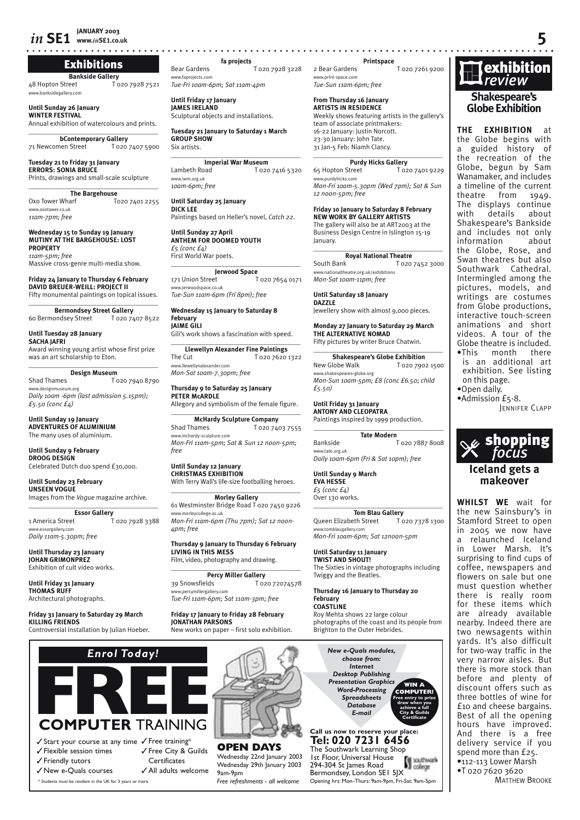#### **IANUARY 2003**  $in$  SE1 www.inSE1.co.uk

# **Exhibitions**

**Bankside Gallery** T 020 7928 7521 48 Hopton Street www.banksidegallery.cor

Until Sunday 26 January **WINTER FESTIVAL** Annual exhibition of watercolours and prints.

**bContemporary Gallery** 71 Newcomen Street T 020 7407 5900

Tuesday 21 to Friday 31 January<br>ERRORS: SONIA BRUCE Prints, drawings and small-scale sculpture

**The Bargehouse** Oxo Tower Wharf T020 7401 2255 www.oxotower.co.uk  $11$ am- $7$ nm: free

Wednesday 15 to Sunday 19 January<br>MUTINY AT THE BARGEHOUSE: LOST **PROPERTY** 11am-5pm; free

Massive cross-genre multi-media show.

# Friday 24 January to Thursday 6 February<br>DAVID BREUER-WEILL: PROJECT II

Fifty monumental paintings on topical issues.

**Bermondsey Street Gallery** T 020 7407 8522 60 Bermondsey Street

Until Tuesday 28 January **SACHA IAFRI** 

Award winning young artist whose first prize was an art scholarship to Eton.

**Design Museum Shad Thames** T 020 7940 8790 www.designmuseum.org Daily 10am -6pm (last admission 5.15pm);  $f_5.50$  (conc  $f_4$ )

Until Sunday 19 January<br>ADVENTURES OF ALUMINIUM The many uses of aluminium.

**Until Sunday 9 February DROOG DESIGN** Celebrated Dutch duo spend £30,000.

**Until Sunday 23 February UNSEEN VOGUE** Images from the Voaue magazine archive.

Essor Gallery<br>T 020 7928 3388 1 America Street www.essorgallery.com Daily 11am-5.30pm; free

Until Thursday 23 January JOHAN GRIMONPREZ Exhibition of cult video works.

Until Friday 31 January THOMAS RUFF Architectural photographs.

Friday 31 January to Saturday 29 March KILLING FRIENDS Controversial installation by Julian Hoeber.



# **COMPUTER TRAINING**

√ Start your course at any time √ Free training\* √ Flexible session times √ Free City & Guilds Certificates ✔ Friendly tutors √ New e-Quals courses ✔ All adults welcome

\* Students must be resident in the UK for 3 years or more

fa projects

**Bear Gardens** T 020 7928 3228 www.faprojects.com Tue-Fri 10am-6pm; Sat 11am-4pm

Until Friday 17 January<br>JAMES IRELAND Sculptural objects and installations.

Six artists.

Tuesday 21 January to Saturday 1 March **GROUP SHOW** 

**Imperial War Museum** Lambeth Road T 020 7416 5320 www.iwm.org.uk 10am-6pm; free

Until Saturday 25 January **DICK LEE** Paintings based on Heller's novel, Catch 22.

Until Sunday 27 April<br>ANTHEM FOR DOOMED YOUTH  $f_5$  (conc  $f_4$ ) First World War poets.

**Jerwood Space** 171 Union Street T 020 7654 0171 www.ierwoodspace.co.ul Tue-Sun 11am-6pm (Fri 8pm); free

Wednesday 15 January to Saturday 8 February JAIME GILI

Gili's work shows a fascination with speed.

**Llewellyn Alexander Fine Paintings** The Cut T 020 7620 1322 uw llewellynglexander.com Mon-Sat 10am-7.30pm; free

Thursday 9 to Saturday 25 January PETER MCARDLE Allegory and symbolism of the female figure.

**McHardy Sculpture Company** Shad Thames T 020 7403 7555 www.mchardy-sculpture.com Mon-Fri 11am-5pm; Sat & Sun 12 noon-5pm; free

#### Until Sunday 12 January **CHRISTMAS EXHIBITION** With Terry Wall's life-size footballing heroes.

**Morley Gallery** 61 Westminster Bridge Road T 020 7450 9226 ww.morleycollege.ac.uk Mon-Fri 11am-6pm (Thu 7pm); Sat 12 noon-Apm: free

Thursday 9 January to Thursday 6 February<br>LIVING IN THIS MESS

Film, video, photography and drawing. **Percy Miller Gallery** 

39 Snowsfields T02072074578 ww.percymillergallery.com Tue-Fri 11am-6pm; Sat 11am-3pm; free

Friday 17 January to Friday 28 February<br>JONATHAN PARSONS



**OPEN DAYS** Wednesday 22nd January 2003 Wednesday 29th January 2003 9am-9pm Free refreshments - all welcome

#### Printspace

2 Bear Gardens T 020 7261 9200 www.print-space.com Tue-Sun 11am-6pm: free

#### From Thursdav 16 Ianuarv **ARTISTS IN RESIDENCE**

Weekly shows featuring artists in the gallery's team of associate printmakers: 16-22 January: Justin Norcott. 23-30 January: John Tate. 31 Jan-5 Feb: Niamh Clancy.

**Purdy Hicks Gallery** 65 Hopton Street T 020 7401 0220 www.nurdyhicks.com Mon-Fri 10am-5.30pm (Wed 7pm); Sat & Sun

12 noon-5pm; free

Friday 10 January to Saturday 8 February<br>NEW WORK BY GALLERY ARTISTS The gallery will also be at ART2003 at the Business Design Centre in Islington 15-19 lanuary.

**Royal National Theatre** South Bank T 020 7452 3000 www.nationaltheatre.org.uk/exhibitions Mon-Sat 10am-11pm; free

Until Saturday 18 January **DAZZLE** Jewellery show with almost 9,000 pieces.

Monday 27 January to Saturday 29 March THE ALTERNATIVE NOMAD Fifty pictures by writer Bruce Chatwin.

**Shakespeare's Globe Exhibition** New Globe Walk T 020 7902 1500 www.shakespeares-globe.org Mon-Sun 10am-5pm; £8 (conc £6.50; child  $f_{5.50}$ 

Until Friday 31 January **ANTONY AND CLEOPATRA** 

Paintings inspired by 1999 production.

**Tate Modern** Bankside T 020 7887 8008 www.tate.org.uk Daily 10am-6pm (Fri & Sat 10pm); free

Until Sunday 9 March **EVA HESSE** 

 $f_5$  (conc  $f_4$ ) Over 130 works.

**Tom Blau Gallery** Queen Elizabeth Street T 020 7378 1300 www.tomblaugallery.com Mon-Fri 10am-6pm: Sat 12noon-5pm

Until Saturday 11 January **TWIST AND SHOUT!** The Sixties in vintage photographs including Twiggy and the Beatles.

Thursday 16 January to Thursday 20 February **COASTLINE** 

Roy Mehta shows 22 large colour photographs of the coast and its people from Brighton to the Outer Hebrides.

New e-Quals modules, choose from: Internet Desktop Publishing **Presentation Graphics Word-Processing Spreadsheets** .<br>Database E-mail Call us now to reserve you

# Tel: 020 7231 6456

The Southwark Learning Shop Ist Floor, Universal House southwark 294-304 St James Road colege Bermondsey, London SEI 5JX Opening hrs: Mon-Thurs: 9am-9pm, Fri-Sat: 9am-5pm



. . . . . . . . . . . . . . . . . . . .

**EXHIBITION THE** at the Globe begins with a guided history of the recreation of the Globe, begun by Sam Wanamaker, and includes a timeline of the current theatre from 1949. The displays continue with details about Shakespeare's Bankside and includes not only information about the Globe, Rose, and Swan theatres but also Southwark Cathedral. Intermingled among the pictures, models, and writings are costumes from Globe productions. interactive touch-screen animations and short videos. A tour of the Globe theatre is included. .This month there

is an additional art exhibition. See listing on this page. .Open daily.

·Admission £5-8.

JENNIFER CLAPP



# Iceland gets a makeover

**WHILST WE** wait for the new Sainsbury's in Stamford Street to open in 2005 we now have relaunched Iceland  $\overline{a}$ in Lower Marsh. It's surprising to find cups of coffee, newspapers and flowers on sale but one must question whether there is really room for these items which are already available nearby. Indeed there are two newsagents within yards. It's also difficult for two-way traffic in the very narrow aisles. But there is more stock than before and plenty of discount offers such as three bottles of wine for £10 and cheese bargains. Best of all the opening hours have improved. And there is a free delivery service if you spend more than  $f_{25}$ . ·112-113 Lower Marsh ·T 020 7620 3620

**MATTHEW BROOKE**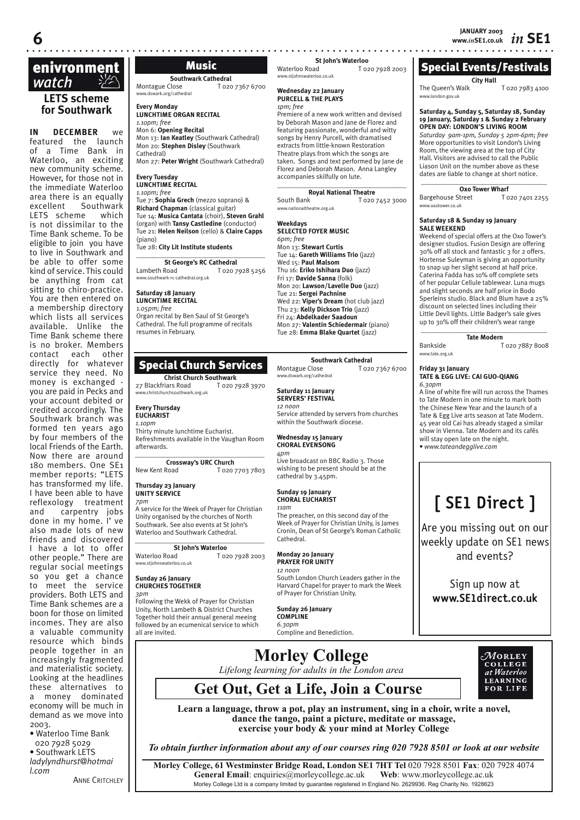# **LETS scheme for Southwark enivronment**<br> *watch* <sup>γ</sup>∕∕∆

**IN DECEMBER** we featured the launch of a Time Bank in Waterloo, an exciting new community scheme. However, for those not in the immediate Waterloo area there is an equally excellent Southwark LETS scheme which is not dissimilar to the Time Bank scheme. To be eligible to join you have to live in Southwark and be able to offer some kind of service. This could be anything from cat sitting to chiro-practice. You are then entered on a membership directory which lists all services available. Unlike the Time Bank scheme there is no broker. Members contact each other directly for whatever service they need. No money is exchanged you are paid in Pecks and your account debited or credited accordingly. The Southwark branch was formed ten years ago by four members of the local Friends of the Earth. Now there are around 180 members. One SE1 member reports: "LETS has transformed my life. I have been able to have reflexology treatment and carpentry jobs done in my home. I' ve also made lots of new friends and discovered I have a lot to offer other people." There are regular social meetings so you get a chance to meet the service providers. Both LETS and Time Bank schemes are a boon for those on limited incomes. They are also a valuable community resource which binds people together in an increasingly fragmented and materialistic society. Looking at the headlines these alternatives to a money dominated economy will be much in demand as we move into 2003.

- Waterloo Time Bank 020 7928 5029
- Southwark LETS *ladylyndhurst@hotmai l.com* **ANNE CRITCHLEY**

Music

# **Southwark Cathedral**

Montague Close T 020 7367 6700 www.dswark.org/cathedral

#### **Every Monday LUNCHTIME ORGAN RECITAL** *1.10pm; free*

Mon 6: **Opening Recital** Mon 13: **Ian Keatley** (Southwark Cathedral) Mon 20: **Stephen Disley** (Southwark Cathedral)

Mon 27: **Peter Wright** (Southwark Cathedral)

#### **Every Tuesday LUNCHTIME RECITAL**

*1.10pm; free*

#### Tue 7: **Sophia Grech** (mezzo soprano) & **Richard Chapman** (classical guitar) Tue 14: **Musica Cantata** (choir), **Steven Grahl**  (organ) with **Tansy Castledine** (conductor) Tue 21: **Helen Neilson** (cello) & **Claire Capps** (piano)

Tue 28: **City Lit Institute students**

**St George's RC Cathedral**<br>Lambeth Road **T** 020.7 T 020 7928 5256 www.southwark-rc-cathedral.org.uk

# **Saturday 18 January**

Organ recital by Ben Saul of St George's Cathedral. The full programme of recitals resumes in February.

# Special Church Services

**Christ Church Southwark**<br>
riars Road<br>
T 020 7928 3970 27 Blackfriars Road www.christchurchsouthwark.org.uk

#### **Every Thursday EUCHARIST**

*1.10pm* Thirty minute lunchtime Eucharist. Refreshments available in the Vaughan Room afterwards.

*\_\_\_\_\_\_\_\_\_\_\_\_\_\_\_\_\_\_\_\_\_\_\_\_\_\_\_\_\_\_\_\_\_\_\_\_\_\_* **Crossway's URC Church**<br>New Kent Road To20 T 020 7703 7803

#### **Thursday 23 January UNITY SERVICE**

*7pm* A service for the Week of Prayer for Christian Unity organised by the churches of North Southwark. See also events at St John's Waterloo and Southwark Cathedral.

*\_\_\_\_\_\_\_\_\_\_\_\_\_\_\_\_\_\_\_\_\_\_\_\_\_\_\_\_\_\_\_\_\_\_\_\_\_\_*  **St John's Waterloo** Waterloo Road T 020 7928 2003 www.stjohnswaterloo.co.uk

#### **Sunday 26 January CHURCHES TOGETHER** *3pm*

Following the Wekk of Prayer for Christian Unity, North Lambeth & District Churches Together hold their annual general meeing followed by an ecumenical service to which all are invited.

**St John's Waterloo**<br>To<sub>2</sub> T 020 7928 2003 ww.stjohnswaterloo.co

# **Wednesday 22 January PURCELL & THE PLAYS**

*1pm; free* Premiere of a new work written and devised by Deborah Mason and Jane de Florez and featuring passionate, wonderful and witty songs by Henry Purcell, with dramatised extracts from little-known Restoration Theatre plays from which the songs are taken. Songs and text performed by Jane de Florez and Deborah Mason. Anna Langley

 $\overline{\phantom{a}}$  , and the set of the set of the set of the set of the set of the set of the set of the set of the set of the set of the set of the set of the set of the set of the set of the set of the set of the set of the s **Royal National Theatre**<br>**Royal National Tozo** 

T 020 7452 3000 www.nationaltheatre.org.uk

accompanies skilfully on lute.

## **Weekdays SELECTED FOYER MUSIC**

*6pm; free* Mon 13: **Stewart Curtis** Tue 14: **Gareth Williams Trio** (jazz) Wed 15: **Paul Malsom**  Thu 16: **Eriko Ishihara Duo** (jazz) Fri 17: **Davide Sanna** (folk) Mon 20: **Lawson/Lavelle Duo** (jazz) Tue 21: **Sergei Pachnine**  Wed 22: **Viper's Dream** (hot club jazz) Thu 23: **Kelly Dickson Trio** (jazz) Fri 24: **Abdelkader Saadoun**  Mon 27: **Valentin Schiedermair** (piano) Tue 28: **Emma Blake Quartet** (jazz)

# **Southwark Cathedral**

Montague Close T 020 7367 6700 www.dswark.org/cathedral

#### **Saturday 11 January SERVERS' FESTIVAL**

*12 noon* Service attended by servers from churches within the Southwark diocese.

## **Wednesday 15 January CHORAL EVENSONG**

*4pm* Live broadcast on BBC Radio 3. Those wishing to be present should be at the cathedral by 3.45pm.

# **Sunday 19 January CHORAL EUCHARIST**

*11am* The preacher, on this second day of the Week of Prayer for Christian Unity, is James Cronin, Dean of St George's Roman Catholic Cathedral.

#### **Monday 20 January PRAYER FOR UNITY** *12 noon*

South London Church Leaders gather in the Harvard Chapel for prayer to mark the Week of Prayer for Christian Unity.

**Sunday 26 January COMPLINE** *6.30pm* Compline and Benediction.



The Queen's Walk T 020 7983 4100 www.london.gov.uk

# **Saturday 4, Sunday 5, Saturday 18, Sunday 19 January, Saturday 1 & Sunday 2 February OPEN DAY: LONDON'S LIVING ROOM**

*Saturday 9am-1pm, Sunday 5 2pm-6pm; free* More opportunities to visit London's Living Room, the viewing area at the top of City Hall. Visitors are advised to call the Public Liason Unit on the number above as these dates are liable to change at short notice.

**\_\_\_\_\_\_\_\_\_\_\_\_\_\_\_\_\_\_\_\_\_\_\_\_\_\_\_\_\_\_\_\_\_\_\_\_\_**

**Oxo Tower Wharf**<br>Street T 020 7401 2255 Bargehouse Street www.oxotower.co.uk

#### **Saturday 18 & Sunday 19 January SALE WEEKEND**

Weekend of special offers at the Oxo Tower's designer studios. Fusion Design are offering 30% off all stock and fantastic 3 for 2 offers. Hortense Suleyman is giving an opportunity to snap up her slight second at half price. Caterina Fadda has 10% off complete sets of her popular Cellule tablewear. Luna mugs and slight seconds are half price in Bodo Sperleins studio. Black and Blum have a 25% discount on selected lines including their Little Devil lights. Little Badger's sale gives up to 30% off their children's wear range **\_\_\_\_\_\_\_\_\_\_\_\_\_\_\_\_\_\_\_\_\_\_\_\_\_\_\_\_\_\_\_\_\_\_\_\_\_**

# **Tate Modern**

Bankside T 020 7887 8008

## **Friday 31 January TATE & EGG LIVE: CAI GUO-QIANG**

www.tate.org.uk

*6.30pm* A line of white fire will run across the Thames

to Tate Modern in one minute to mark both the Chinese New Year and the launch of a Tate & Egg Live arts season at Tate Modern. 45 year old Cai has already staged a similar show in Vienna. Tate Modern and its cafés will stay open late on the night. • *www.tateandegglive.com*

# **[ SE1 Direct ]**

Are you missing out on our weekly update on SE1 news and events?

Sign up now at **www.SE1direct.co.uk**

**Morley College** *Lifelong learning for adults in the London area*



**Get Out, Get a Life, Join a Course**

**Learn a language, throw a pot, play an instrument, sing in a choir, write a novel, dance the tango, paint a picture, meditate or massage, exercise your body & your mind at Morley College**

*To obtain further information about any of our courses ring 020 7928 8501 or look at our website*

**Morley College, 61 Westminster Bridge Road, London SE1 7HT Tel** 020 7928 8501 **Fax**: 020 7928 4074 **General Email**: enquiries@morleycollege.ac.uk **Web**: www.morleycollege.ac.uk Morley College Ltd is a company limited by guarantee registered in England No. 2629936. Reg Charity No. 1928623

\_\_\_\_\_*\_\_\_\_\_\_\_\_\_\_\_\_\_\_\_\_\_\_\_\_\_\_\_\_\_\_\_\_\_\_\_\_\_*

**LUNCHTIME RECITAL**

*1.05pm; free*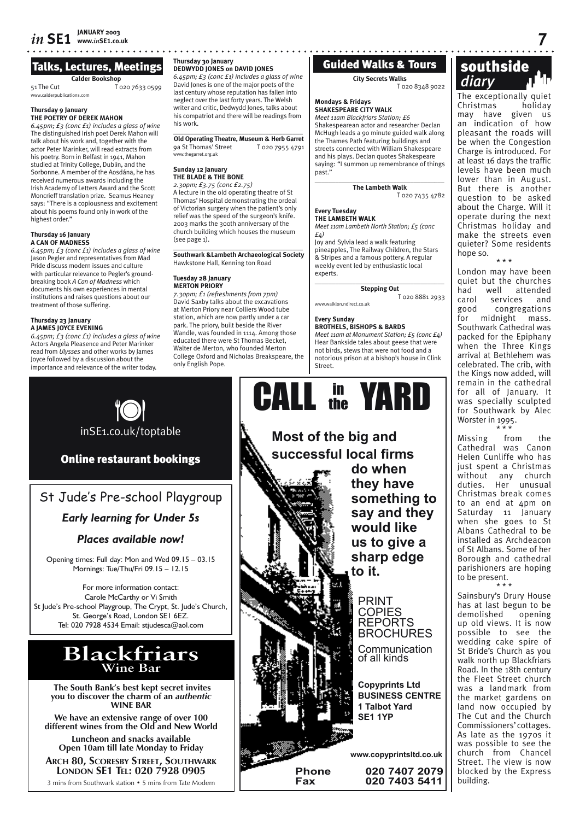# Talks, Lectures, Meetings

**Calder Bookshop** 51 The Cut T 020 7633 0599

www.calderpublications.com

#### **Thursday 9 January THE POETRY OF DEREK MAHON**

*6.45pm; £3 (conc £1) includes a glass of wine*  The distinguished Irish poet Derek Mahon will talk about his work and, together with the actor Peter Marinker, will read extracts from his poetry. Born in Belfast in 1941, Mahon studied at Trinity College, Dublin, and the Sorbonne. A member of the Aosdána, he has received numerous awards including the Irish Academy of Letters Award and the Scott Moncrieff translation prize. Seamus Heaney says: "There is a copiousness and excitement about his poems found only in work of the highest order."

#### **Thursday 16 January A CAN OF MADNESS**

*6.45pm; £3 (conc £1) includes a glass of wine*  Jason Pegler and representatives from Mad Pride discuss modern issues and culture with particular relevance to Pegler's groundbreaking book *A Can of Madness* which documents his own experiences in mental institutions and raises questions about our treatment of those suffering.

#### **Thursday 23 January A JAMES JOYCE EVENING**

*6.45pm; £3 (conc £1) includes a glass of wine*  Actors Angela Pleasence and Peter Marinker read from *Ulysses* and other works by James Joyce followed by a discussion about the importance and relevance of the writer today.

# **Thursday 30 January**

# **DEDWYDD JONES on DAVID JONES**

*6.45pm; £3 (conc £1) includes a glass of wine*  David Jones is one of the major poets of the last century whose reputation has fallen into neglect over the last forty years. The Welsh writer and critic, Dedwydd Jones, talks about his compatriot and there will be readings from his work.

 $\overline{\phantom{a}}$  , and the set of the set of the set of the set of the set of the set of the set of the set of the set of the set of the set of the set of the set of the set of the set of the set of the set of the set of the s **Old Operating Theatre, Museum & Herb Garret**<br>9a St Thomas' Street T 020 7955 4791 www.thegarret.org.uk

#### **Sunday 12 January THE BLADE & THE BONE**

*2.30pm; £3.75 (conc £2.75)* A lecture in the old operating theatre of St Thomas' Hospital demonstrating the ordeal

of Victorian surgery when the patient's only relief was the speed of the surgeon's knife. 2003 marks the 300th anniversary of the church building which houses the museum (see page 1).

\_\_\_\_\_\_\_\_\_\_\_\_\_\_\_\_\_\_\_\_\_\_\_\_\_\_\_\_\_\_\_\_\_\_\_\_\_\_ **Southwark &Lambeth Archaeological Society** Hawkstone Hall, Kenning ton Road

#### **Tuesday 28 January MERTON PRIORY**

*7.30pm; £1 (refreshments from 7pm)* David Saxby talks about the excavations at Merton Priory near Colliers Wood tube station, which are now partly under a car park. The priory, built beside the River Wandle, was founded in 1114. Among those educated there were St Thomas Becket, Walter de Merton, who founded Merton College Oxford and Nicholas Breakspeare, the only English Pope.

# Guided Walks & Tours

**City Secrets Walks**

T 020 8348 9022

# **Mondays & Fridays SHAKESPEARE CITY WALK**

*Meet 11am Blackfriars Station; £6* Shakespearean actor and researcher Declan McHugh leads a 90 minute guided walk along the Thames Path featuring buildings and streets connected with William Shakespeare and his plays. Declan quotes Shakespeare saying: "I summon up remembrance of things past."

 $\overline{\phantom{a}}$  , and the set of the set of the set of the set of the set of the set of the set of the set of the set of the set of the set of the set of the set of the set of the set of the set of the set of the set of the s

**The Lambeth Walk** T 020 7435 4782

#### **Every Tuesday THE LAMBETH WALK**

*Meet 11am Lambeth North Station; £5 (conc £4)*

Joy and Sylvia lead a walk featuring pineapples, The Railway Children, the Stars & Stripes and a famous pottery. A regular weekly event led by enthusiastic local experts.

\_\_\_\_\_\_\_\_\_\_\_\_\_\_\_\_\_\_\_\_\_\_\_\_\_\_\_\_\_\_\_\_\_\_\_\_\_\_ **Stepping Out**

T 020 8881 2933 www.walklon.ndirect.co.uk

**Every Sunday**

**BROTHELS, BISHOPS & BARDS**

*Meet 11am at Monument Station; £5 (conc £4)* Hear Bankside tales about geese that were not birds, stews that were not food and a notorious prison at a bishop's house in Clink Street.



**something to say and they** 

**BROCHURES** Communication

**BUSINESS CENTRE**

**Fax 020 7403 5411**

# **SOULITSTUE**<br> *diary* **diary diary** The exceptionally quiet southside

Christmas holiday may have given us an indication of how pleasant the roads will be when the Congestion Charge is introduced. For at least 16 days the traffic levels have been much lower than in August. But there is another question to be asked about the Charge. Will it operate during the next Christmas holiday and make the streets even quieter? Some residents hope so.

\* \* \*

London may have been quiet but the churches<br>had well attended well attended carol services and good congregations for midnight mass. Southwark Cathedral was packed for the Epiphany when the Three Kings arrival at Bethlehem was celebrated. The crib, with the Kings now added, will remain in the cathedral for all of January. It was specially sculpted for Southwark by Alec Worster in 1995.

\* \* \* Missing from the Cathedral was Canon Helen Cunliffe who has just spent a Christmas without any church duties. Her unusual Christmas break comes to an end at 4pm on Saturday 11 January when she goes to St Albans Cathedral to be installed as Archdeacon of St Albans. Some of her Borough and cathedral parishioners are hoping to be present.

\* \* \* Sainsbury's Drury House has at last begun to be<br>demolished opening demolished up old views. It is now possible to see the wedding cake spire of St Bride's Church as you walk north up Blackfriars Road. In the 18th century the Fleet Street church was a landmark from the market gardens on land now occupied by The Cut and the Church Commissioners' cottages. As late as the 1970s it was possible to see the church from Chancel Street. The view is now blocked by the Express building.



Online restaurant bookings

# St Jude's Pre-school Playgroup

# *Early learning for Under 5s*

# *Places available now!*

Opening times: Full day: Mon and Wed 09.15 – 03.15 Mornings: Tue/Thu/Fri 09.15 – 12.15

For more information contact: Carole McCarthy or Vi Smith St Jude's Pre-school Playgroup, The Crypt, St. Jude's Church, St. George's Road, London SE1 6EZ. Tel: 020 7928 4534 Email: stjudesca@aol.com

# **Blackfriars Wine Bar**

 **The South Bank's best kept secret invites you to discover the charm of an** *authentic* **WINE BAR**

**We have an extensive range of over 100 different wines from the Old and New World**

**Luncheon and snacks available Open 10am till late Monday to Friday**

**ARCH 80, SCORESBY STREET, SOUTHWARK LONDON SE1 TEL: 020 7928 0905**

3 mins from Southwark station • 5 mins from Tate Modern